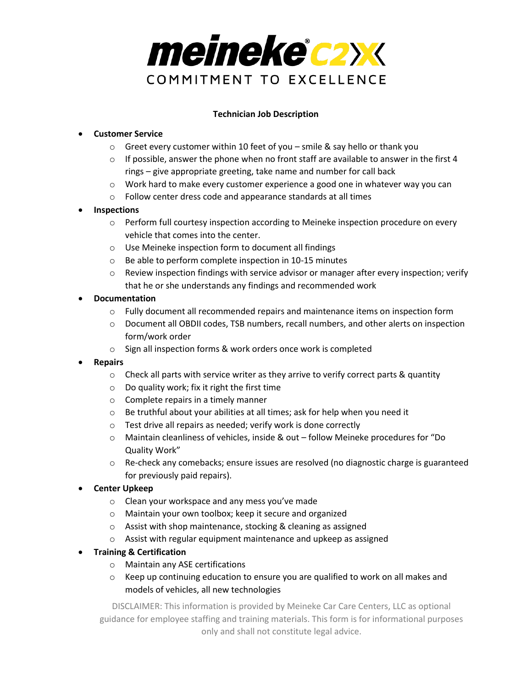

## **Technician Job Description**

## • **Customer Service**

- $\circ$  Greet every customer within 10 feet of you smile & say hello or thank you
- $\circ$  If possible, answer the phone when no front staff are available to answer in the first 4 rings – give appropriate greeting, take name and number for call back
- $\circ$  Work hard to make every customer experience a good one in whatever way you can
- o Follow center dress code and appearance standards at all times

## • **Inspections**

- $\circ$  Perform full courtesy inspection according to Meineke inspection procedure on every vehicle that comes into the center.
- o Use Meineke inspection form to document all findings
- o Be able to perform complete inspection in 10-15 minutes
- $\circ$  Review inspection findings with service advisor or manager after every inspection; verify that he or she understands any findings and recommended work

## • **Documentation**

- $\circ$  Fully document all recommended repairs and maintenance items on inspection form
- o Document all OBDII codes, TSB numbers, recall numbers, and other alerts on inspection form/work order
- o Sign all inspection forms & work orders once work is completed
- **Repairs**
	- $\circ$  Check all parts with service writer as they arrive to verify correct parts & quantity
	- o Do quality work; fix it right the first time
	- o Complete repairs in a timely manner
	- o Be truthful about your abilities at all times; ask for help when you need it
	- o Test drive all repairs as needed; verify work is done correctly
	- o Maintain cleanliness of vehicles, inside & out follow Meineke procedures for "Do Quality Work"
	- o Re-check any comebacks; ensure issues are resolved (no diagnostic charge is guaranteed for previously paid repairs).
- **Center Upkeep**
	- o Clean your workspace and any mess you've made
	- o Maintain your own toolbox; keep it secure and organized
	- o Assist with shop maintenance, stocking & cleaning as assigned
	- o Assist with regular equipment maintenance and upkeep as assigned
- **Training & Certification**
	- o Maintain any ASE certifications
	- $\circ$  Keep up continuing education to ensure you are qualified to work on all makes and models of vehicles, all new technologies

DISCLAIMER: This information is provided by Meineke Car Care Centers, LLC as optional guidance for employee staffing and training materials. This form is for informational purposes only and shall not constitute legal advice.